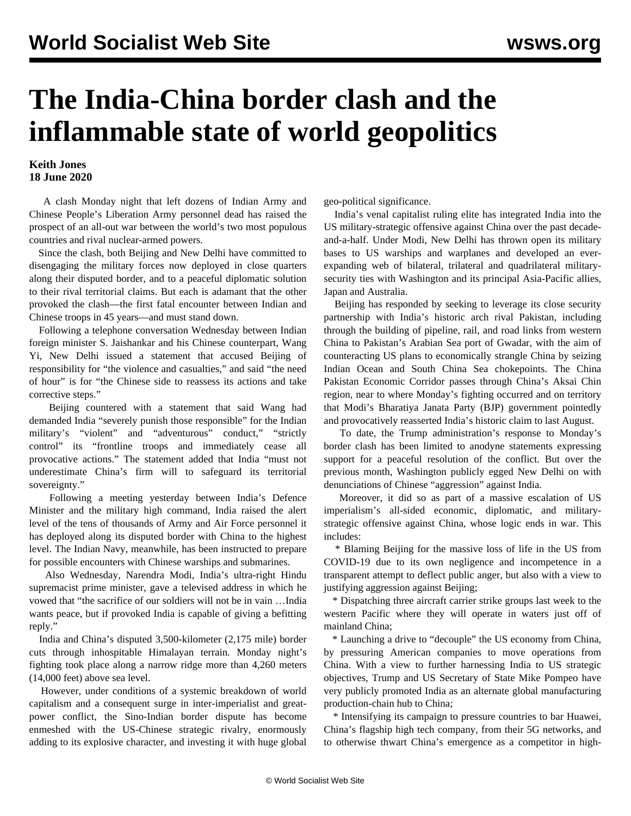## **The India-China border clash and the inflammable state of world geopolitics**

## **Keith Jones 18 June 2020**

 A clash Monday night that left dozens of Indian Army and Chinese People's Liberation Army personnel dead has raised the prospect of an all-out war between the world's two most populous countries and rival nuclear-armed powers.

 Since the clash, both Beijing and New Delhi have committed to disengaging the military forces now deployed in close quarters along their disputed border, and to a peaceful diplomatic solution to their rival territorial claims. But each is adamant that the other provoked the clash—the first fatal encounter between Indian and Chinese troops in 45 years—and must stand down.

 Following a telephone conversation Wednesday between Indian foreign minister S. Jaishankar and his Chinese counterpart, Wang Yi, New Delhi issued a statement that accused Beijing of responsibility for "the violence and casualties," and said "the need of hour" is for "the Chinese side to reassess its actions and take corrective steps."

 Beijing countered with a statement that said Wang had demanded India "severely punish those responsible" for the Indian military's "violent" and "adventurous" conduct," "strictly control" its "frontline troops and immediately cease all provocative actions." The statement added that India "must not underestimate China's firm will to safeguard its territorial sovereignty."

 Following a meeting yesterday between India's Defence Minister and the military high command, India raised the alert level of the tens of thousands of Army and Air Force personnel it has deployed along its disputed border with China to the highest level. The Indian Navy, meanwhile, has been instructed to prepare for possible encounters with Chinese warships and submarines.

 Also Wednesday, Narendra Modi, India's ultra-right Hindu supremacist prime minister, gave a televised address in which he vowed that "the sacrifice of our soldiers will not be in vain …India wants peace, but if provoked India is capable of giving a befitting reply."

 India and China's disputed 3,500-kilometer (2,175 mile) border cuts through inhospitable Himalayan terrain. Monday night's fighting took place along a narrow ridge more than 4,260 meters (14,000 feet) above sea level.

 However, under conditions of a systemic breakdown of world capitalism and a consequent surge in inter-imperialist and greatpower conflict, the Sino-Indian border dispute has become enmeshed with the US-Chinese strategic rivalry, enormously adding to its explosive character, and investing it with huge global geo-political significance.

 India's venal capitalist ruling elite has integrated India into the US military-strategic offensive against China over the past decadeand-a-half. Under Modi, New Delhi has thrown open its military bases to US warships and warplanes and developed an everexpanding web of bilateral, trilateral and quadrilateral militarysecurity ties with Washington and its principal Asia-Pacific allies, Japan and Australia.

 Beijing has responded by seeking to leverage its close security partnership with India's historic arch rival Pakistan, including through the building of pipeline, rail, and road links from western China to Pakistan's Arabian Sea port of Gwadar, with the aim of counteracting US plans to economically strangle China by seizing Indian Ocean and South China Sea chokepoints. The China Pakistan Economic Corridor passes through China's Aksai Chin region, near to where Monday's fighting occurred and on territory that Modi's Bharatiya Janata Party (BJP) government pointedly and provocatively reasserted India's historic claim to last August.

 To date, the Trump administration's response to Monday's border clash has been limited to anodyne statements expressing support for a peaceful resolution of the conflict. But over the previous month, Washington publicly egged New Delhi on with denunciations of Chinese "aggression" against India.

 Moreover, it did so as part of a massive escalation of US imperialism's all-sided economic, diplomatic, and militarystrategic offensive against China, whose logic ends in war. This includes:

 \* Blaming Beijing for the massive loss of life in the US from COVID-19 due to its own negligence and incompetence in a transparent attempt to deflect public anger, but also with a view to justifying aggression against Beijing;

 \* Dispatching three aircraft carrier strike groups last week to the western Pacific where they will operate in waters just off of mainland China;

 \* Launching a drive to "decouple" the US economy from China, by pressuring American companies to move operations from China. With a view to further harnessing India to US strategic objectives, Trump and US Secretary of State Mike Pompeo have very publicly promoted India as an alternate global manufacturing production-chain hub to China;

 \* Intensifying its campaign to pressure countries to bar Huawei, China's flagship high tech company, from their 5G networks, and to otherwise thwart China's emergence as a competitor in high